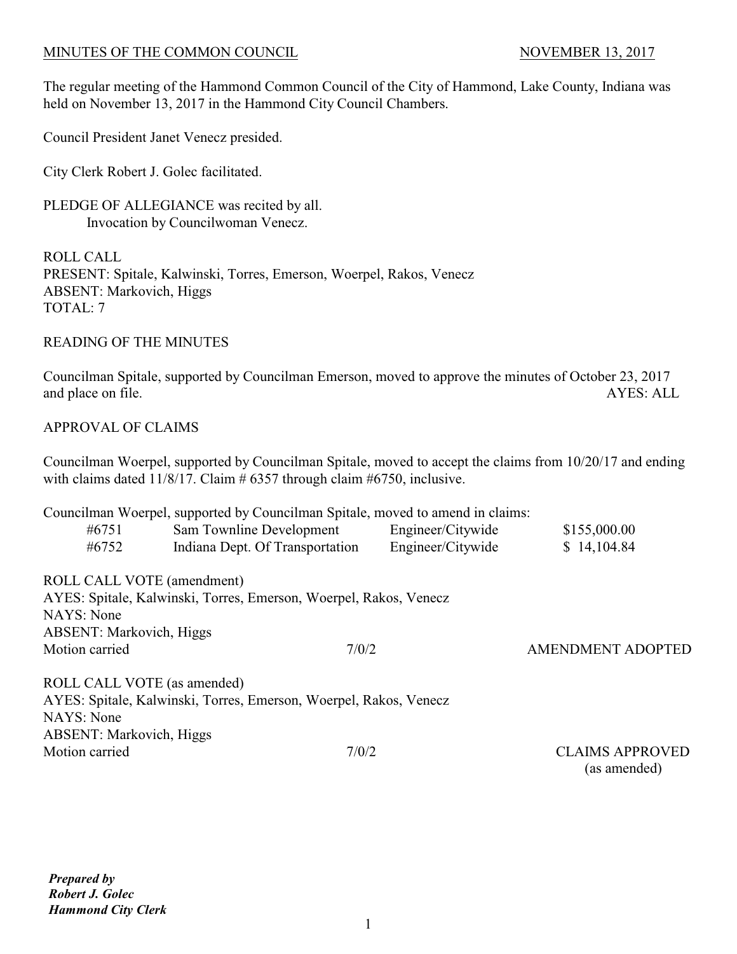The regular meeting of the Hammond Common Council of the City of Hammond, Lake County, Indiana was held on November 13, 2017 in the Hammond City Council Chambers.

Council President Janet Venecz presided.

City Clerk Robert J. Golec facilitated.

PLEDGE OF ALLEGIANCE was recited by all. Invocation by Councilwoman Venecz.

ROLL CALL PRESENT: Spitale, Kalwinski, Torres, Emerson, Woerpel, Rakos, Venecz ABSENT: Markovich, Higgs TOTAL: 7

READING OF THE MINUTES

Councilman Spitale, supported by Councilman Emerson, moved to approve the minutes of October 23, 2017 and place on file. AYES: ALL

## APPROVAL OF CLAIMS

Councilman Woerpel, supported by Councilman Spitale, moved to accept the claims from 10/20/17 and ending with claims dated 11/8/17. Claim  $# 6357$  through claim  $#6750$ , inclusive.

|                                 | Councilman Woerpel, supported by Councilman Spitale, moved to amend in claims: |                   |                          |
|---------------------------------|--------------------------------------------------------------------------------|-------------------|--------------------------|
| #6751                           | Sam Townline Development                                                       | Engineer/Citywide | \$155,000.00             |
| #6752                           | Indiana Dept. Of Transportation                                                | Engineer/Citywide | \$14,104.84              |
| ROLL CALL VOTE (amendment)      |                                                                                |                   |                          |
|                                 | AYES: Spitale, Kalwinski, Torres, Emerson, Woerpel, Rakos, Venecz              |                   |                          |
| NAYS: None                      |                                                                                |                   |                          |
| <b>ABSENT: Markovich, Higgs</b> |                                                                                |                   |                          |
| Motion carried                  | 7/0/2                                                                          |                   | <b>AMENDMENT ADOPTED</b> |
| ROLL CALL VOTE (as amended)     |                                                                                |                   |                          |
|                                 | AYES: Spitale, Kalwinski, Torres, Emerson, Woerpel, Rakos, Venecz              |                   |                          |
| NAYS: None                      |                                                                                |                   |                          |
| <b>ABSENT: Markovich, Higgs</b> |                                                                                |                   |                          |
| Motion carried                  | 7/0/2                                                                          |                   | <b>CLAIMS APPROVED</b>   |

(as amended)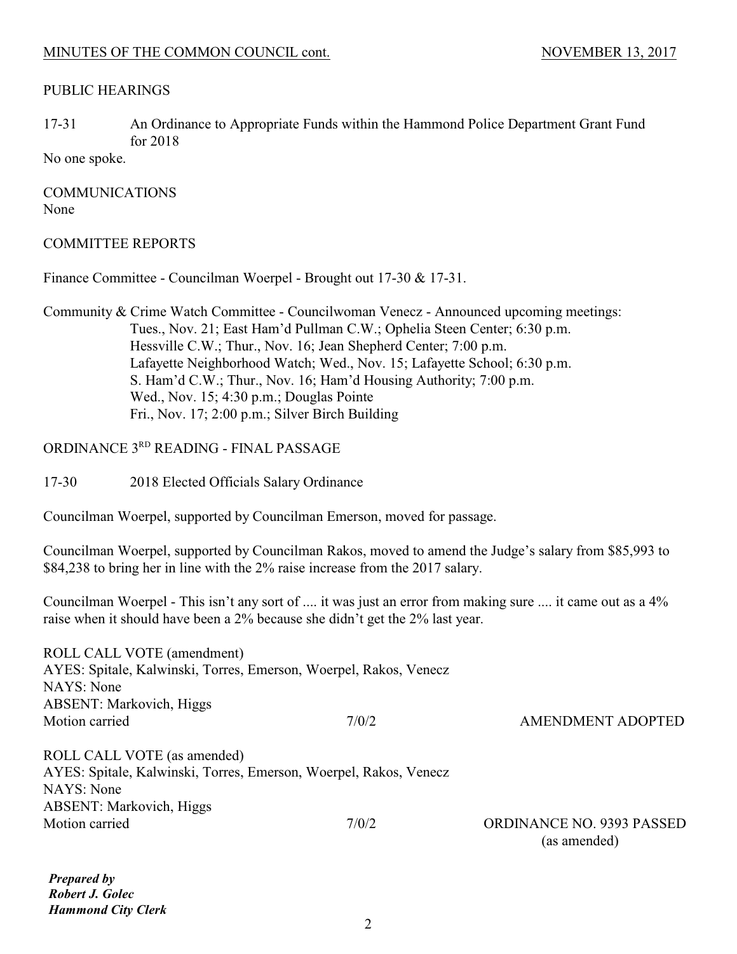#### PUBLIC HEARINGS

17-31 An Ordinance to Appropriate Funds within the Hammond Police Department Grant Fund for 2018

No one spoke.

COMMUNICATIONS None

#### COMMITTEE REPORTS

Finance Committee - Councilman Woerpel - Brought out 17-30 & 17-31.

Community & Crime Watch Committee - Councilwoman Venecz - Announced upcoming meetings: Tues., Nov. 21; East Ham'd Pullman C.W.; Ophelia Steen Center; 6:30 p.m. Hessville C.W.; Thur., Nov. 16; Jean Shepherd Center; 7:00 p.m. Lafayette Neighborhood Watch; Wed., Nov. 15; Lafayette School; 6:30 p.m. S. Ham'd C.W.; Thur., Nov. 16; Ham'd Housing Authority; 7:00 p.m. Wed., Nov. 15; 4:30 p.m.; Douglas Pointe Fri., Nov. 17; 2:00 p.m.; Silver Birch Building

## ORDINANCE 3RD READING - FINAL PASSAGE

17-30 2018 Elected Officials Salary Ordinance

Councilman Woerpel, supported by Councilman Emerson, moved for passage.

Councilman Woerpel, supported by Councilman Rakos, moved to amend the Judge's salary from \$85,993 to \$84,238 to bring her in line with the 2% raise increase from the 2017 salary.

Councilman Woerpel - This isn't any sort of .... it was just an error from making sure .... it came out as a 4% raise when it should have been a 2% because she didn't get the 2% last year.

| ROLL CALL VOTE (amendment)                                        |       |                                                  |
|-------------------------------------------------------------------|-------|--------------------------------------------------|
| AYES: Spitale, Kalwinski, Torres, Emerson, Woerpel, Rakos, Venecz |       |                                                  |
| NAYS: None                                                        |       |                                                  |
| <b>ABSENT: Markovich, Higgs</b>                                   |       |                                                  |
| Motion carried                                                    | 7/0/2 | <b>AMENDMENT ADOPTED</b>                         |
| ROLL CALL VOTE (as amended)                                       |       |                                                  |
| AYES: Spitale, Kalwinski, Torres, Emerson, Woerpel, Rakos, Venecz |       |                                                  |
| NAYS: None                                                        |       |                                                  |
| <b>ABSENT: Markovich, Higgs</b>                                   |       |                                                  |
| Motion carried                                                    | 7/0/2 | <b>ORDINANCE NO. 9393 PASSED</b><br>(as amended) |
|                                                                   |       |                                                  |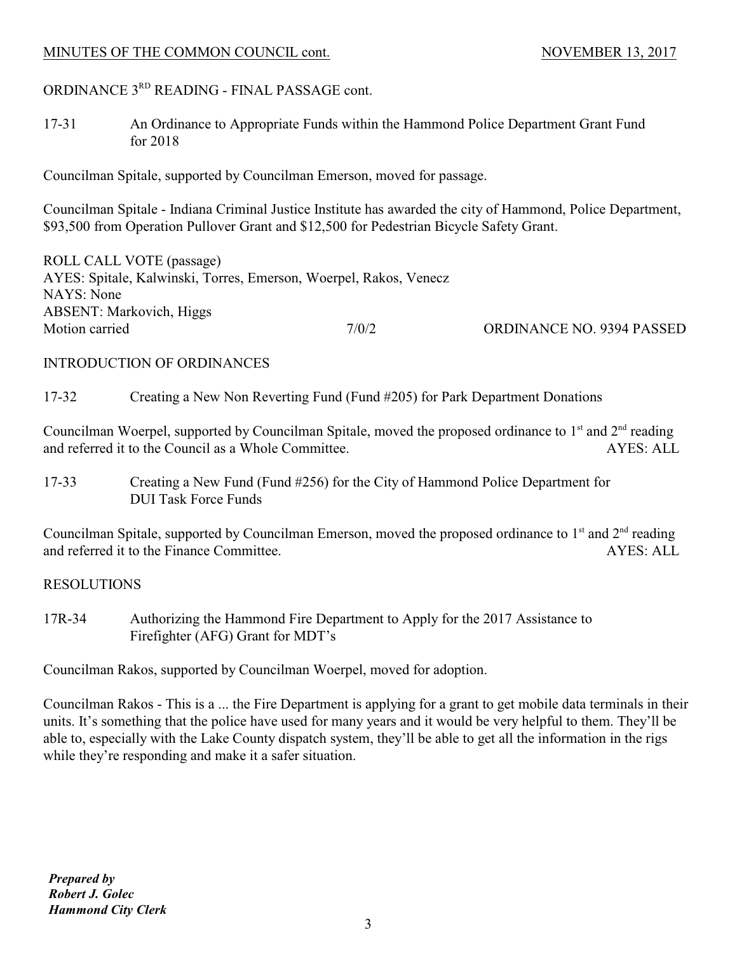# ORDINANCE 3RD READING - FINAL PASSAGE cont.

17-31 An Ordinance to Appropriate Funds within the Hammond Police Department Grant Fund for 2018

Councilman Spitale, supported by Councilman Emerson, moved for passage.

Councilman Spitale - Indiana Criminal Justice Institute has awarded the city of Hammond, Police Department, \$93,500 from Operation Pullover Grant and \$12,500 for Pedestrian Bicycle Safety Grant.

ROLL CALL VOTE (passage) AYES: Spitale, Kalwinski, Torres, Emerson, Woerpel, Rakos, Venecz NAYS: None ABSENT: Markovich, Higgs Motion carried  $7/0/2$  ORDINANCE NO. 9394 PASSED

## INTRODUCTION OF ORDINANCES

17-32 Creating a New Non Reverting Fund (Fund #205) for Park Department Donations

Councilman Woerpel, supported by Councilman Spitale, moved the proposed ordinance to  $1<sup>st</sup>$  and  $2<sup>nd</sup>$  reading and referred it to the Council as a Whole Committee. AYES: ALL

17-33 Creating a New Fund (Fund #256) for the City of Hammond Police Department for DUI Task Force Funds

Councilman Spitale, supported by Councilman Emerson, moved the proposed ordinance to  $1<sup>st</sup>$  and  $2<sup>nd</sup>$  reading and referred it to the Finance Committee. AYES: ALL

## RESOLUTIONS

17R-34 Authorizing the Hammond Fire Department to Apply for the 2017 Assistance to Firefighter (AFG) Grant for MDT's

Councilman Rakos, supported by Councilman Woerpel, moved for adoption.

Councilman Rakos - This is a ... the Fire Department is applying for a grant to get mobile data terminals in their units. It's something that the police have used for many years and it would be very helpful to them. They'll be able to, especially with the Lake County dispatch system, they'll be able to get all the information in the rigs while they're responding and make it a safer situation.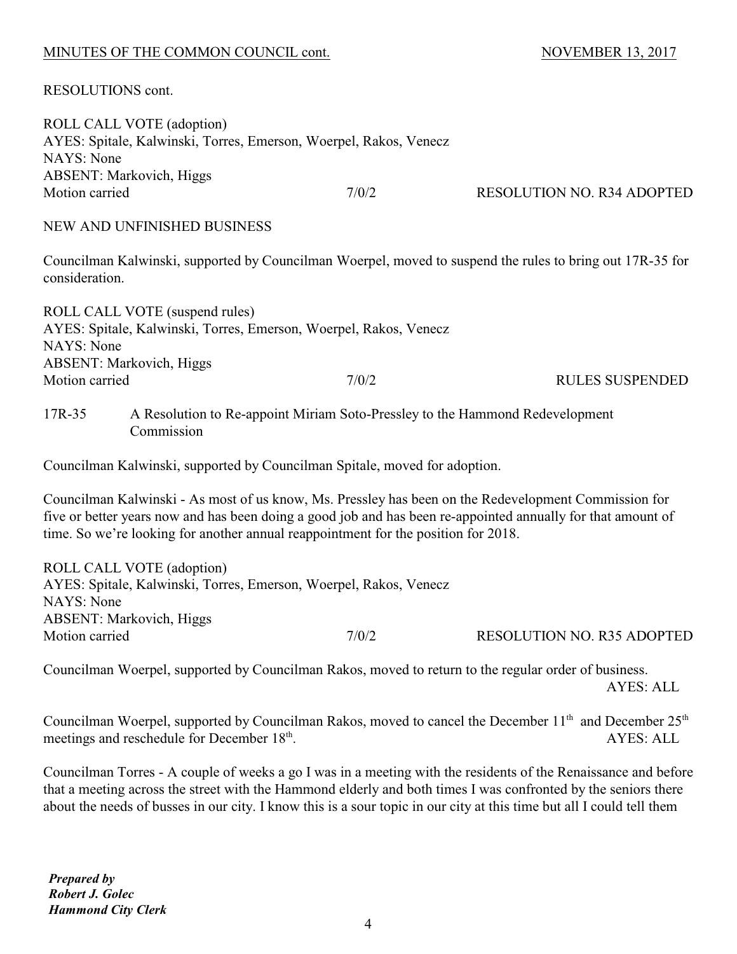RESOLUTIONS cont.

| ROLL CALL VOTE (adoption)<br>AYES: Spitale, Kalwinski, Torres, Emerson, Woerpel, Rakos, Venecz |       |                                   |
|------------------------------------------------------------------------------------------------|-------|-----------------------------------|
| NAYS: None                                                                                     |       |                                   |
| <b>ABSENT: Markovich, Higgs</b>                                                                |       |                                   |
| Motion carried                                                                                 | 7/0/2 | <b>RESOLUTION NO. R34 ADOPTED</b> |
|                                                                                                |       |                                   |

NEW AND UNFINISHED BUSINESS

Councilman Kalwinski, supported by Councilman Woerpel, moved to suspend the rules to bring out 17R-35 for consideration.

| ROLL CALL VOTE (suspend rules)                                    |       |                        |
|-------------------------------------------------------------------|-------|------------------------|
| AYES: Spitale, Kalwinski, Torres, Emerson, Woerpel, Rakos, Venecz |       |                        |
| NAYS: None                                                        |       |                        |
| <b>ABSENT: Markovich, Higgs</b>                                   |       |                        |
| Motion carried                                                    | 7/0/2 | <b>RULES SUSPENDED</b> |
|                                                                   |       |                        |

17R-35 A Resolution to Re-appoint Miriam Soto-Pressley to the Hammond Redevelopment Commission

Councilman Kalwinski, supported by Councilman Spitale, moved for adoption.

Councilman Kalwinski - As most of us know, Ms. Pressley has been on the Redevelopment Commission for five or better years now and has been doing a good job and has been re-appointed annually for that amount of time. So we're looking for another annual reappointment for the position for 2018.

ROLL CALL VOTE (adoption) AYES: Spitale, Kalwinski, Torres, Emerson, Woerpel, Rakos, Venecz NAYS: None ABSENT: Markovich, Higgs Motion carried  $7/0/2$  RESOLUTION NO. R35 ADOPTED

Councilman Woerpel, supported by Councilman Rakos, moved to return to the regular order of business. AYES: ALL

Councilman Woerpel, supported by Councilman Rakos, moved to cancel the December 11<sup>th</sup> and December 25<sup>th</sup> meetings and reschedule for December 18<sup>th</sup>. AYES: ALL

Councilman Torres - A couple of weeks a go I was in a meeting with the residents of the Renaissance and before that a meeting across the street with the Hammond elderly and both times I was confronted by the seniors there about the needs of busses in our city. I know this is a sour topic in our city at this time but all I could tell them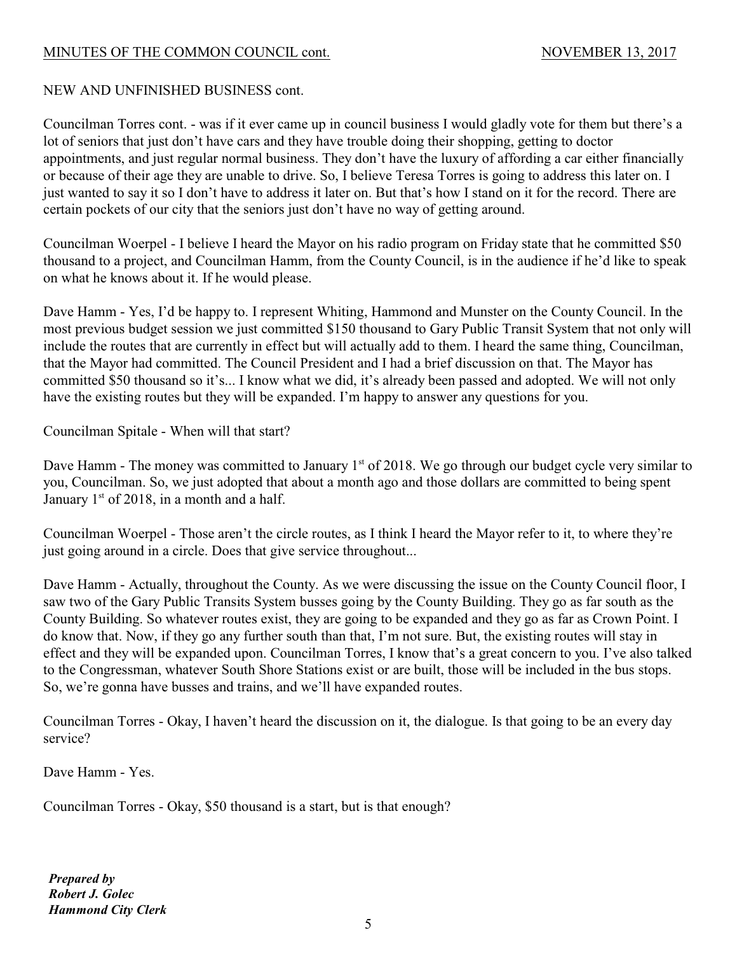## NEW AND UNFINISHED BUSINESS cont.

Councilman Torres cont. - was if it ever came up in council business I would gladly vote for them but there's a lot of seniors that just don't have cars and they have trouble doing their shopping, getting to doctor appointments, and just regular normal business. They don't have the luxury of affording a car either financially or because of their age they are unable to drive. So, I believe Teresa Torres is going to address this later on. I just wanted to say it so I don't have to address it later on. But that's how I stand on it for the record. There are certain pockets of our city that the seniors just don't have no way of getting around.

Councilman Woerpel - I believe I heard the Mayor on his radio program on Friday state that he committed \$50 thousand to a project, and Councilman Hamm, from the County Council, is in the audience if he'd like to speak on what he knows about it. If he would please.

Dave Hamm - Yes, I'd be happy to. I represent Whiting, Hammond and Munster on the County Council. In the most previous budget session we just committed \$150 thousand to Gary Public Transit System that not only will include the routes that are currently in effect but will actually add to them. I heard the same thing, Councilman, that the Mayor had committed. The Council President and I had a brief discussion on that. The Mayor has committed \$50 thousand so it's... I know what we did, it's already been passed and adopted. We will not only have the existing routes but they will be expanded. I'm happy to answer any questions for you.

Councilman Spitale - When will that start?

Dave Hamm - The money was committed to January 1<sup>st</sup> of 2018. We go through our budget cycle very similar to you, Councilman. So, we just adopted that about a month ago and those dollars are committed to being spent January  $1<sup>st</sup>$  of 2018, in a month and a half.

Councilman Woerpel - Those aren't the circle routes, as I think I heard the Mayor refer to it, to where they're just going around in a circle. Does that give service throughout...

Dave Hamm - Actually, throughout the County. As we were discussing the issue on the County Council floor, I saw two of the Gary Public Transits System busses going by the County Building. They go as far south as the County Building. So whatever routes exist, they are going to be expanded and they go as far as Crown Point. I do know that. Now, if they go any further south than that, I'm not sure. But, the existing routes will stay in effect and they will be expanded upon. Councilman Torres, I know that's a great concern to you. I've also talked to the Congressman, whatever South Shore Stations exist or are built, those will be included in the bus stops. So, we're gonna have busses and trains, and we'll have expanded routes.

Councilman Torres - Okay, I haven't heard the discussion on it, the dialogue. Is that going to be an every day service?

Dave Hamm - Yes.

Councilman Torres - Okay, \$50 thousand is a start, but is that enough?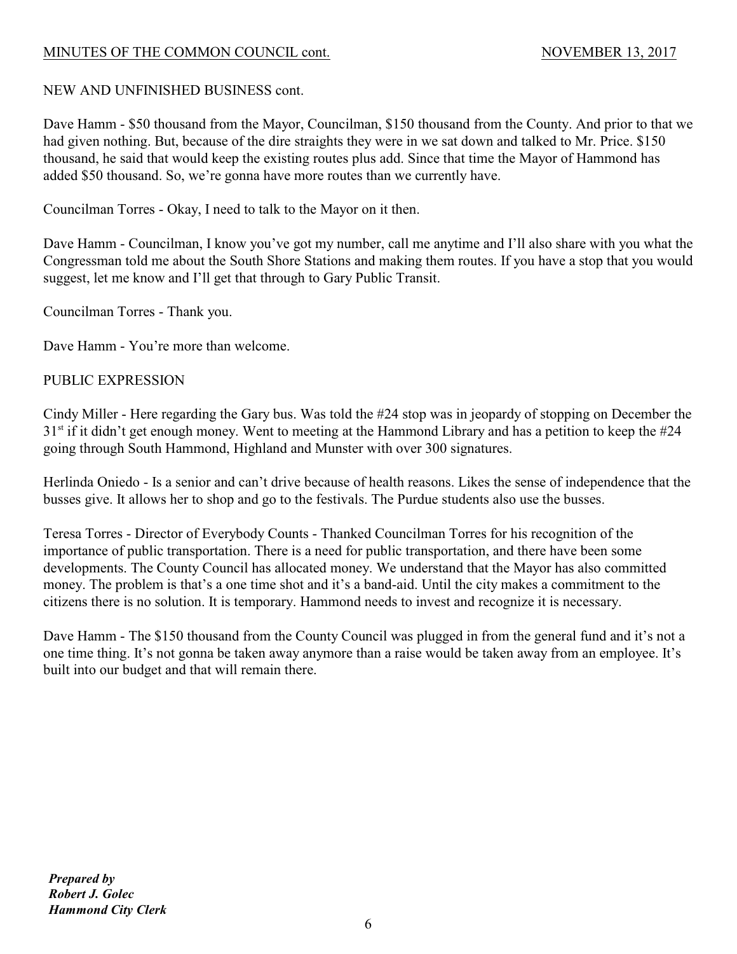# NEW AND UNFINISHED BUSINESS cont.

Dave Hamm - \$50 thousand from the Mayor, Councilman, \$150 thousand from the County. And prior to that we had given nothing. But, because of the dire straights they were in we sat down and talked to Mr. Price. \$150 thousand, he said that would keep the existing routes plus add. Since that time the Mayor of Hammond has added \$50 thousand. So, we're gonna have more routes than we currently have.

Councilman Torres - Okay, I need to talk to the Mayor on it then.

Dave Hamm - Councilman, I know you've got my number, call me anytime and I'll also share with you what the Congressman told me about the South Shore Stations and making them routes. If you have a stop that you would suggest, let me know and I'll get that through to Gary Public Transit.

Councilman Torres - Thank you.

Dave Hamm - You're more than welcome.

## PUBLIC EXPRESSION

Cindy Miller - Here regarding the Gary bus. Was told the #24 stop was in jeopardy of stopping on December the  $31<sup>st</sup>$  if it didn't get enough money. Went to meeting at the Hammond Library and has a petition to keep the #24 going through South Hammond, Highland and Munster with over 300 signatures.

Herlinda Oniedo - Is a senior and can't drive because of health reasons. Likes the sense of independence that the busses give. It allows her to shop and go to the festivals. The Purdue students also use the busses.

Teresa Torres - Director of Everybody Counts - Thanked Councilman Torres for his recognition of the importance of public transportation. There is a need for public transportation, and there have been some developments. The County Council has allocated money. We understand that the Mayor has also committed money. The problem is that's a one time shot and it's a band-aid. Until the city makes a commitment to the citizens there is no solution. It is temporary. Hammond needs to invest and recognize it is necessary.

Dave Hamm - The \$150 thousand from the County Council was plugged in from the general fund and it's not a one time thing. It's not gonna be taken away anymore than a raise would be taken away from an employee. It's built into our budget and that will remain there.